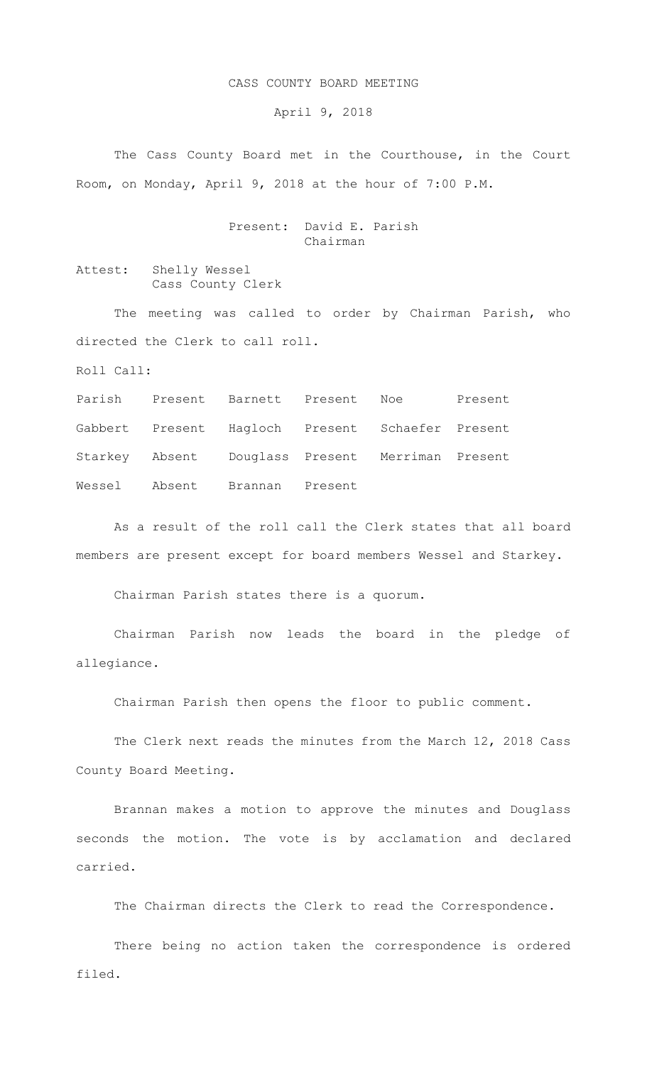## CASS COUNTY BOARD MEETING

April 9, 2018

The Cass County Board met in the Courthouse, in the Court Room, on Monday, April 9, 2018 at the hour of 7:00 P.M.

## Present: David E. Parish Chairman

Attest: Shelly Wessel Cass County Clerk

The meeting was called to order by Chairman Parish, who directed the Clerk to call roll.

Roll Call:

Parish Present Barnett Present Noe Present Gabbert Present Hagloch Present Schaefer Present Starkey Absent Douglass Present Merriman Present Wessel Absent Brannan Present

As a result of the roll call the Clerk states that all board members are present except for board members Wessel and Starkey.

Chairman Parish states there is a quorum.

Chairman Parish now leads the board in the pledge of allegiance.

Chairman Parish then opens the floor to public comment.

The Clerk next reads the minutes from the March 12, 2018 Cass County Board Meeting.

Brannan makes a motion to approve the minutes and Douglass seconds the motion. The vote is by acclamation and declared carried.

The Chairman directs the Clerk to read the Correspondence.

There being no action taken the correspondence is ordered filed.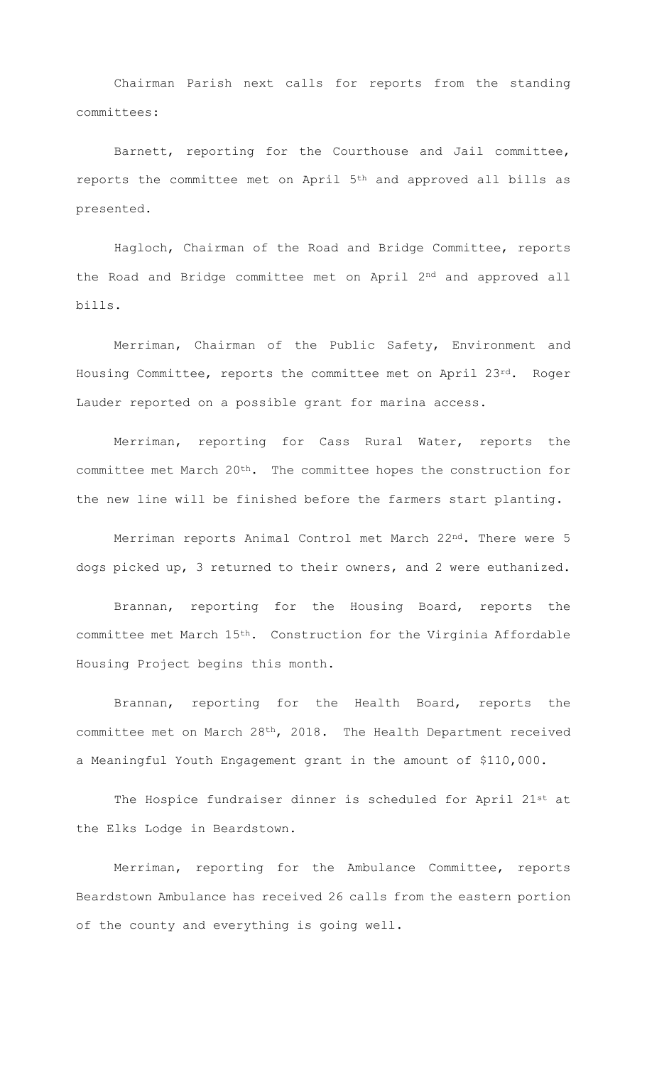Chairman Parish next calls for reports from the standing committees:

Barnett, reporting for the Courthouse and Jail committee, reports the committee met on April 5th and approved all bills as presented.

Hagloch, Chairman of the Road and Bridge Committee, reports the Road and Bridge committee met on April 2nd and approved all bills.

Merriman, Chairman of the Public Safety, Environment and Housing Committee, reports the committee met on April 23rd. Roger Lauder reported on a possible grant for marina access.

Merriman, reporting for Cass Rural Water, reports the committee met March 20th. The committee hopes the construction for the new line will be finished before the farmers start planting.

Merriman reports Animal Control met March 22nd. There were 5 dogs picked up, 3 returned to their owners, and 2 were euthanized.

Brannan, reporting for the Housing Board, reports the committee met March 15th. Construction for the Virginia Affordable Housing Project begins this month.

Brannan, reporting for the Health Board, reports the committee met on March 28th, 2018. The Health Department received a Meaningful Youth Engagement grant in the amount of \$110,000.

The Hospice fundraiser dinner is scheduled for April 21st at the Elks Lodge in Beardstown.

Merriman, reporting for the Ambulance Committee, reports Beardstown Ambulance has received 26 calls from the eastern portion of the county and everything is going well.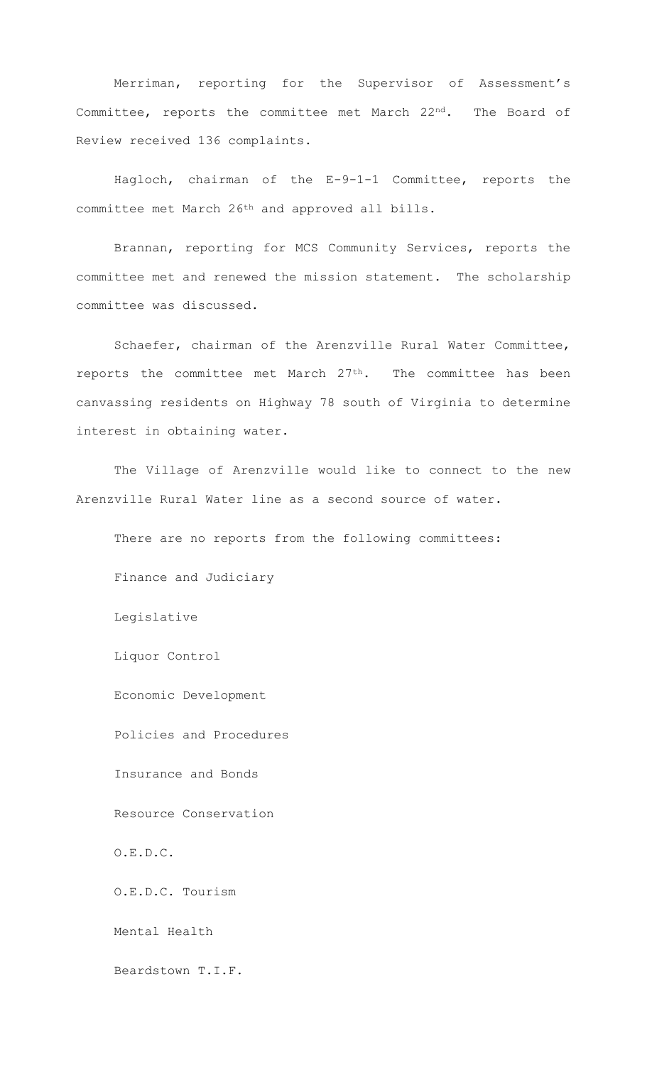Merriman, reporting for the Supervisor of Assessment's Committee, reports the committee met March 22nd. The Board of Review received 136 complaints.

Hagloch, chairman of the E-9-1-1 Committee, reports the committee met March 26th and approved all bills.

Brannan, reporting for MCS Community Services, reports the committee met and renewed the mission statement. The scholarship committee was discussed.

Schaefer, chairman of the Arenzville Rural Water Committee, reports the committee met March 27th. The committee has been canvassing residents on Highway 78 south of Virginia to determine interest in obtaining water.

The Village of Arenzville would like to connect to the new Arenzville Rural Water line as a second source of water.

There are no reports from the following committees:

Finance and Judiciary

Legislative

Liquor Control

Economic Development

Policies and Procedures

Insurance and Bonds

Resource Conservation

O.E.D.C.

O.E.D.C. Tourism

Mental Health

Beardstown T.I.F.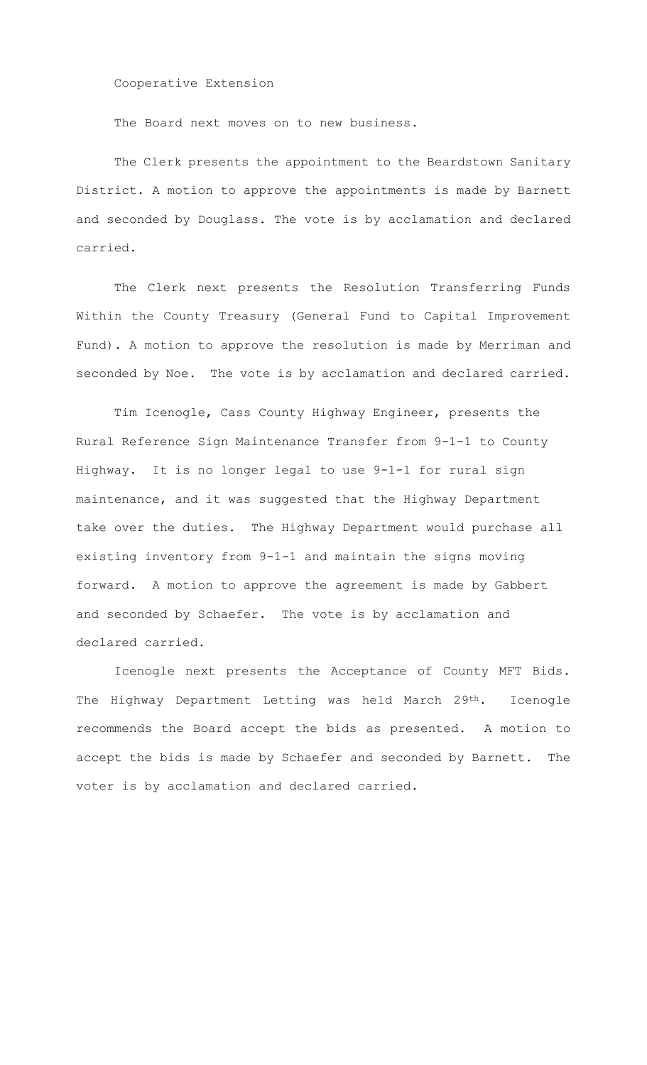Cooperative Extension

The Board next moves on to new business.

The Clerk presents the appointment to the Beardstown Sanitary District. A motion to approve the appointments is made by Barnett and seconded by Douglass. The vote is by acclamation and declared carried.

 The Clerk next presents the Resolution Transferring Funds Within the County Treasury (General Fund to Capital Improvement Fund). A motion to approve the resolution is made by Merriman and seconded by Noe. The vote is by acclamation and declared carried.

 Tim Icenogle, Cass County Highway Engineer, presents the Rural Reference Sign Maintenance Transfer from 9-1-1 to County Highway. It is no longer legal to use 9-1-1 for rural sign maintenance, and it was suggested that the Highway Department take over the duties. The Highway Department would purchase all existing inventory from 9-1-1 and maintain the signs moving forward. A motion to approve the agreement is made by Gabbert and seconded by Schaefer. The vote is by acclamation and declared carried.

Icenogle next presents the Acceptance of County MFT Bids. The Highway Department Letting was held March 29<sup>th</sup>. Icenogle recommends the Board accept the bids as presented. A motion to accept the bids is made by Schaefer and seconded by Barnett. The voter is by acclamation and declared carried.